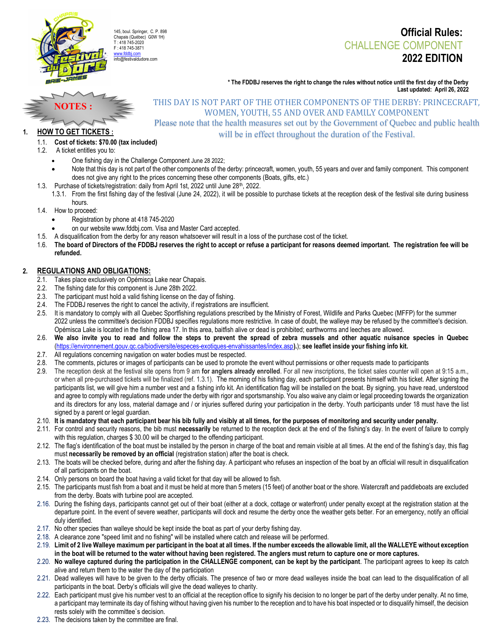

# Official Rules: CHALLENGE COMPONENT 2022 EDITION

\* The FDDBJ reserves the right to change the rules without notice until the first day of the Derby Last updated: April 26, 2022



# THIS DAY IS NOT PART OF THE OTHER COMPONENTS OF THE DERBY: PRINCECRAFT, WOMEN, YOUTH, 55 AND OVER AND FAMILY COMPONENT

Please note that the health measures set out by the Government of Quebec and public health will be in effect throughout the duration of the Festival.

### 1.1. Cost of tickets: \$70.00 (tax included)

1.2. A ticket entitles you to:

**HOW TO GET TICKETS :** 

- One fishing day in the Challenge Component June 28 2022;
- Note that this day is not part of the other components of the derby: princecraft, women, youth, 55 years and over and family component. This component does not give any right to the prices concerning these other components (Boats, gifts, etc.)
- 1.3. Purchase of tickets/registration: daily from April 1st, 2022 until June 28<sup>th</sup>, 2022. 1.3.1. From the first fishing day of the festival (June 24, 2022), it will be possible to purchase tickets at the reception desk of the festival site during business hours.
- 1.4. How to proceed:
	- Registration by phone at 418 745-2020
	- on our website www.fddbj.com. Visa and Master Card accepted.
- 1.5. A disqualification from the derby for any reason whatsoever will result in a loss of the purchase cost of the ticket.
- 1.6. The board of Directors of the FDDBJ reserves the right to accept or refuse a participant for reasons deemed important. The registration fee will be refunded.

# 2. REGULATIONS AND OBLIGATIONS:

- 
- 2.1. Takes place exclusively on Opémisca Lake near Chapais.<br>2.2. The fishing date for this component is June 28th 2022. 2.2. The fishing date for this component is June 28th 2022.
- The participant must hold a valid fishing license on the day of fishing.
- 2.4. The FDDBJ reserves the right to cancel the activity, if registrations are insufficient.
- 2.5. It is mandatory to comply with all Quebec Sportfishing regulations prescribed by the Ministry of Forest, Wildlife and Parks Quebec (MFFP) for the summer 2022 unless the committee's decision FDDBJ specifies regulations more restrictive. In case of doubt, the walleye may be refused by the committee's decision. Opémisca Lake is located in the fishing area 17. In this area, baitfish alive or dead is prohibited; earthworms and leeches are allowed.
- 2.6. We also invite you to read and follow the steps to prevent the spread of zebra mussels and other aquatic nuisance species in Quebec (https://environnement.gouv.qc.ca/biodiversite/especes-exotiques-envahissantes/index.asp).); see leaflet inside your fishing info kit.
- 2.7. All regulations concerning navigation on water bodies must be respected.
- 2.8. The comments, pictures or images of participants can be used to promote the event without permissions or other requests made to participants
- 2.9. The reception desk at the festival site opens from 9 am for anglers already enrolled. For all new inscriptions, the ticket sales counter will open at 9:15 a.m., or when all pre-purchased tickets will be finalized (ref. 1.3.1). The morning of his fishing day, each participant presents himself with his ticket. After signing the participants list, we will give him a number vest and a fishing info kit. An identification flag will be installed on the boat. By signing, you have read, understood and agree to comply with regulations made under the derby with rigor and sportsmanship. You also waive any claim or legal proceeding towards the organization and its directors for any loss, material damage and / or injuries suffered during your participation in the derby. Youth participants under 18 must have the list signed by a parent or legal guardian.
- 2.10. It is mandatory that each participant bear his bib fully and visibly at all times, for the purposes of monitoring and security under penalty.
- 2.11. For control and security reasons, the bib must necessarily be returned to the reception deck at the end of the fishing's day. In the event of failure to comply with this regulation, charges \$ 30.00 will be charged to the offending participant.
- 2.12. The flag's identification of the boat must be installed by the person in charge of the boat and remain visible at all times. At the end of the fishing's day, this flag must necessarily be removed by an official (registration station) after the boat is check.
- 2.13. The boats will be checked before, during and after the fishing day. A participant who refuses an inspection of the boat by an official will result in disqualification of all participants on the boat.
- 2.14. Only persons on board the boat having a valid ticket for that day will be allowed to fish.
- 2.15. The participants must fish from a boat and it must be held at more than 5 meters (15 feet) of another boat or the shore. Watercraft and paddleboats are excluded from the derby. Boats with turbine pool are accepted.
- 2.16. During the fishing days, participants cannot get out of their boat (either at a dock, cottage or waterfront) under penalty except at the registration station at the departure point. In the event of severe weather, participants will dock and resume the derby once the weather gets better. For an emergency, notify an official duly identified.
- 2.17. No other species than walleye should be kept inside the boat as part of your derby fishing day.
- 2.18. A clearance zone "speed limit and no fishing" will be installed where catch and release will be performed.
- 2.19. Limit of 2 live Walleye maximum per participant in the boat at all times. If the number exceeds the allowable limit, all the WALLEYE without exception in the boat will be returned to the water without having been registered. The anglers must return to capture one or more captures.
- 2.20. No walleye captured during the participation in the CHALLENGE component, can be kept by the participant. The participant agrees to keep its catch alive and return them to the water the day of the participation
- 2.21. Dead walleyes will have to be given to the derby officials. The presence of two or more dead walleyes inside the boat can lead to the disqualification of all participants in the boat. Derby's officials will give the dead walleyes to charity.
- 2.22. Each participant must give his number vest to an official at the reception office to signify his decision to no longer be part of the derby under penalty. At no time, a participant may terminate its day of fishing without having given his number to the reception and to have his boat inspected or to disqualify himself, the decision rests solely with the committee`s decision.
- 2.23. The decisions taken by the committee are final.